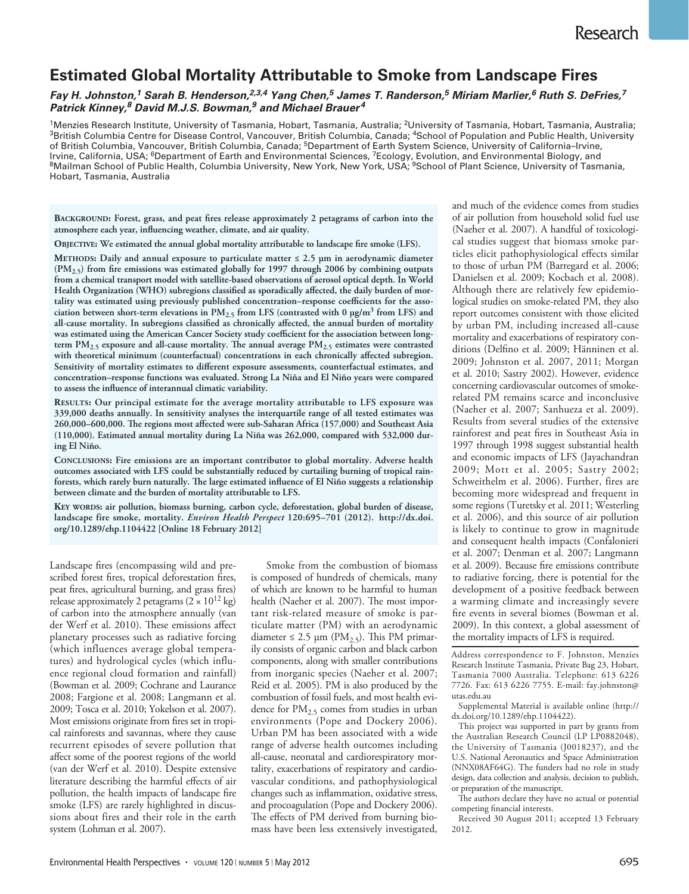# **Estimated Global Mortality Attributable to Smoke from Landscape Fires**

# *Fay H. Johnston, 1 Sarah B. Henderson, 2,3,4 Yang Chen, 5 James T. Randerson, 5 Miriam Marlier, 6 Ruth S. DeFries, 7 Patrick Kinney, 8 David M.J.S. Bowman, <sup>9</sup> and Michael Brauer <sup>4</sup>*

<sup>1</sup>Menzies Research Institute, University of Tasmania, Hobart, Tasmania, Australia; <sup>2</sup>University of Tasmania, Hobart, Tasmania, Australia;<br><sup>3</sup>British Columbia Centre for Disease Control, Vancouver, British Columbia, Canad of British Columbia, Vancouver, British Columbia, Canada; <sup>5</sup>Department of Earth System Science, University of California–Irvine, Irvine, California, USA; <sup>6</sup>Department of Earth and Environmental Sciences, <sup>7</sup>Ecology, Evolution, and Environmental Biology, and<br><sup>8</sup>Mailman School of Public Health, Columbia University, New York, New York, USA; <sup>9</sup>School Hobart, Tasmania, Australia

**Background: Forest, grass, and peat fires release approximately 2 petagrams of carbon into the atmosphere each year, influencing weather, climate, and air quality.**

**Objective: We estimated the annual global mortality attributable to landscape fire smoke (LFS).**

**Methods: Daily and annual exposure to particulate matter ≤ 2.5 μm in aerodynamic diameter (PM2.5) from fire emissions was estimated globally for 1997 through 2006 by combining outputs from a chemical transport model with satellite-based observations of aerosol optical depth. In World Health Organization (WHO) subregions classified as sporadically affected, the daily burden of mortality was estimated using previously published concentration–response coefficients for the association between short-term elevations in PM2.5 from LFS (contrasted with 0 μg/m3 from LFS) and all-cause mortality. In subregions classified as chronically affected, the annual burden of mortality was estimated using the American Cancer Society study coefficient for the association between longterm PM2.5 exposure and all-cause mortality. The annual average PM2.5 estimates were contrasted with theoretical minimum (counterfactual) concentrations in each chronically affected subregion. Sensitivity of mortality estimates to different exposure assessments, counterfactual estimates, and concentration–response functions was evaluated. Strong La Niña and El Niño years were compared to assess the influence of interannual climatic variability.**

**Results: Our principal estimate for the average mortality attributable to LFS exposure was 339,000 deaths annually. In sensitivity analyses the interquartile range of all tested estimates was 260,000–600,000. The regions most affected were sub-Saharan Africa (157,000) and Southeast Asia (110,000). Estimated annual mortality during La Niña was 262,000, compared with 532,000 during El Niño.**

**Conclusions: Fire emissions are an important contributor to global mortality. Adverse health outcomes associated with LFS could be substantially reduced by curtailing burning of tropical rainforests, which rarely burn naturally. The large estimated influence of El Niño suggests a relationship between climate and the burden of mortality attributable to LFS.**

**Key words: air pollution, biomass burning, carbon cycle, deforestation, global burden of disease, landscape fire smoke, mortality.** *Environ Health Perspect* **120:695–701 (2012). http://dx.doi. org/10.1289/ehp.1104422 [Online 18 February 2012]**

Landscape fires (encompassing wild and prescribed forest fires, tropical deforestation fires, peat fires, agricultural burning, and grass fires) release approximately 2 petagrams  $(2 \times 10^{12} \text{ kg})$ of carbon into the atmosphere annually (van der Werf et al. 2010). These emissions affect planetary processes such as radiative forcing (which influences average global temperatures) and hydrological cycles (which influence regional cloud formation and rainfall) (Bowman et al. 2009; Cochrane and Laurance 2008; Fargione et al. 2008; Langmann et al. 2009; Tosca et al. 2010; Yokelson et al. 2007). Most emissions originate from fires set in tropical rainforests and savannas, where they cause recurrent episodes of severe pollution that affect some of the poorest regions of the world (van der Werf et al. 2010). Despite extensive literature describing the harmful effects of air pollution, the health impacts of landscape fire smoke (LFS) are rarely highlighted in discussions about fires and their role in the earth system (Lohman et al. 2007).

Smoke from the combustion of biomass is composed of hundreds of chemicals, many of which are known to be harmful to human health (Naeher et al. 2007). The most important risk-related measure of smoke is particulate matter (PM) with an aerodynamic diameter  $\leq 2.5$  μm (PM<sub>2.5</sub>). This PM primarily consists of organic carbon and black carbon components, along with smaller contributions from inorganic species (Naeher et al. 2007; Reid et al. 2005). PM is also produced by the combustion of fossil fuels, and most health evidence for  $PM_{2.5}$  comes from studies in urban environments (Pope and Dockery 2006). Urban PM has been associated with a wide range of adverse health outcomes including all-cause, neonatal and cardiorespiratory mortality, exacerbations of respiratory and cardiovascular conditions, and pathophysiological changes such as inflammation, oxidative stress, and procoagulation (Pope and Dockery 2006). The effects of PM derived from burning biomass have been less extensively investigated,

and much of the evidence comes from studies of air pollution from household solid fuel use (Naeher et al. 2007). A handful of toxicological studies suggest that biomass smoke particles elicit pathophysiological effects similar to those of urban PM (Barregard et al. 2006; Danielsen et al. 2009; Kocbach et al. 2008). Although there are relatively few epidemiological studies on smoke-related PM, they also report outcomes consistent with those elicited by urban PM, including increased all-cause mortality and exacerbations of respiratory conditions (Delfino et al. 2009; Hänninen et al. 2009; Johnston et al. 2007, 2011; Morgan et al. 2010; Sastry 2002). However, evidence concerning cardiovascular outcomes of smokerelated PM remains scarce and inconclusive (Naeher et al. 2007; Sanhueza et al. 2009). Results from several studies of the extensive rainforest and peat fires in Southeast Asia in 1997 through 1998 suggest substantial health and economic impacts of LFS (Jayachandran 2009; Mott et al. 2005; Sastry 2002; Schweithelm et al. 2006). Further, fires are becoming more widespread and frequent in some regions (Turetsky et al. 2011; Westerling et al. 2006), and this source of air pollution is likely to continue to grow in magnitude and consequent health impacts (Confalonieri et al. 2007; Denman et al. 2007; Langmann et al. 2009). Because fire emissions contribute to radiative forcing, there is potential for the development of a positive feedback between a warming climate and increasingly severe fire events in several biomes (Bowman et al. 2009). In this context, a global assessment of the mortality impacts of LFS is required.

Address correspondence to F. Johnston, Menzies Research Institute Tasmania, Private Bag 23, Hobart, Tasmania 7000 Australia. Telephone: 613 6226 7726. Fax: 613 6226 7755. E-mail: fay.johnston@ utas.edu.au

Supplemental Material is available online (http:// dx.doi.org/10.1289/ehp.1104422).

This project was supported in part by grants from the Australian Research Council (LP LP0882048), the University of Tasmania (J0018237), and the U.S. National Aeronautics and Space Administration (NNX08AF64G). The funders had no role in study design, data collection and analysis, decision to publish, or preparation of the manuscript.

The authors declare they have no actual or potential competing financial interests.

Received 30 August 2011; accepted 13 February 2012.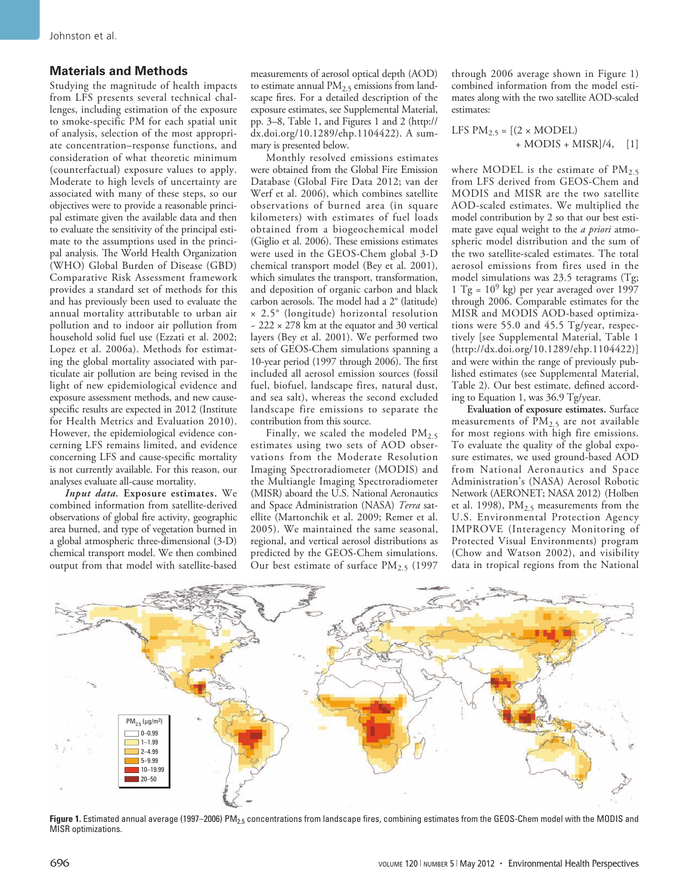# **Materials and Methods**

Studying the magnitude of health impacts from LFS presents several technical challenges, including estimation of the exposure to smoke-specific PM for each spatial unit of analysis, selection of the most appropriate concentration–response functions, and consideration of what theoretic minimum (counterfactual) exposure values to apply. Moderate to high levels of uncertainty are associated with many of these steps, so our objectives were to provide a reasonable principal estimate given the available data and then to evaluate the sensitivity of the principal estimate to the assumptions used in the principal analysis. The World Health Organization (WHO) Global Burden of Disease (GBD) Comparative Risk Assessment framework provides a standard set of methods for this and has previously been used to evaluate the annual mortality attributable to urban air pollution and to indoor air pollution from household solid fuel use (Ezzati et al. 2002; Lopez et al. 2006a). Methods for estimating the global mortality associated with particulate air pollution are being revised in the light of new epidemiological evidence and exposure assessment methods, and new causespecific results are expected in 2012 (Institute for Health Metrics and Evaluation 2010). However, the epidemiological evidence concerning LFS remains limited, and evidence concerning LFS and cause-specific mortality is not currently available. For this reason, our analyses evaluate all-cause mortality.

*Input data.* **Exposure estimates.** We combined information from satellite-derived observations of global fire activity, geographic area burned, and type of vegetation burned in a global atmospheric three-dimensional (3-D) chemical transport model. We then combined output from that model with satellite-based measurements of aerosol optical depth (AOD) to estimate annual  $PM<sub>2.5</sub>$  emissions from landscape fires. For a detailed description of the exposure estimates, see Supplemental Material, pp. 3–8, Table 1, and Figures 1 and 2 (http:// dx.doi.org/10.1289/ehp.1104422). A summary is presented below.

Monthly resolved emissions estimates were obtained from the Global Fire Emission Database (Global Fire Data 2012; van der Werf et al. 2006), which combines satellite observations of burned area (in square kilometers) with estimates of fuel loads obtained from a biogeochemical model (Giglio et al. 2006). These emissions estimates were used in the GEOS-Chem global 3-D chemical transport model (Bey et al. 2001), which simulates the transport, transformation, and deposition of organic carbon and black carbon aerosols. The model had a 2° (latitude) × 2.5° (longitude) horizontal resolution ~ 222 × 278 km at the equator and 30 vertical layers (Bey et al. 2001). We performed two sets of GEOS-Chem simulations spanning a 10-year period (1997 through 2006). The first included all aerosol emission sources (fossil fuel, biofuel, landscape fires, natural dust, and sea salt), whereas the second excluded landscape fire emissions to separate the contribution from this source.

Finally, we scaled the modeled  $PM_{2.5}$ estimates using two sets of AOD observations from the Moderate Resolution Imaging Spectroradiometer (MODIS) and the Multiangle Imaging Spectroradiometer (MISR) aboard the U.S. National Aeronautics and Space Administration (NASA) *Terra* satellite (Martonchik et al. 2009; Remer et al. 2005). We maintained the same seasonal, regional, and vertical aerosol distributions as predicted by the GEOS-Chem simulations. Our best estimate of surface  $PM_{2.5}$  (1997

through 2006 average shown in Figure 1) combined information from the model estimates along with the two satellite AOD-scaled estimates:

$$
LFS PM_{2.5} = [(2 \times MODEL) + MODIS + MISR]/4, [1]
$$

where MODEL is the estimate of  $PM_{2.5}$ from LFS derived from GEOS-Chem and MODIS and MISR are the two satellite AOD-scaled estimates. We multiplied the model contribution by 2 so that our best estimate gave equal weight to the *a priori* atmospheric model distribution and the sum of the two satellite-scaled estimates. The total aerosol emissions from fires used in the model simulations was 23.5 teragrams (Tg; 1 Tg =  $10^9$  kg) per year averaged over 1997 through 2006. Comparable estimates for the MISR and MODIS AOD-based optimizations were 55.0 and 45.5 Tg/year, respectively [see Supplemental Material, Table 1 (http://dx.doi.org/10.1289/ehp.1104422)] and were within the range of previously published estimates (see Supplemental Material, Table 2). Our best estimate, defined according to Equation 1, was 36.9 Tg/year.

**Evaluation of exposure estimates.** Surface measurements of  $PM_{2.5}$  are not available for most regions with high fire emissions. To evaluate the quality of the global exposure estimates, we used ground-based AOD from National Aeronautics and Space Administration's (NASA) Aerosol Robotic Network (AERONET; NASA 2012) (Holben et al. 1998),  $PM_{2.5}$  measurements from the U.S. Environmental Protection Agency IMPROVE (Interagency Monitoring of Protected Visual Environments) program (Chow and Watson 2002), and visibility data in tropical regions from the National



Figure 1. Estimated annual average (1997–2006) PM<sub>2.5</sub> concentrations from landscape fires, combining estimates from the GEOS-Chem model with the MODIS and MISR optimizations.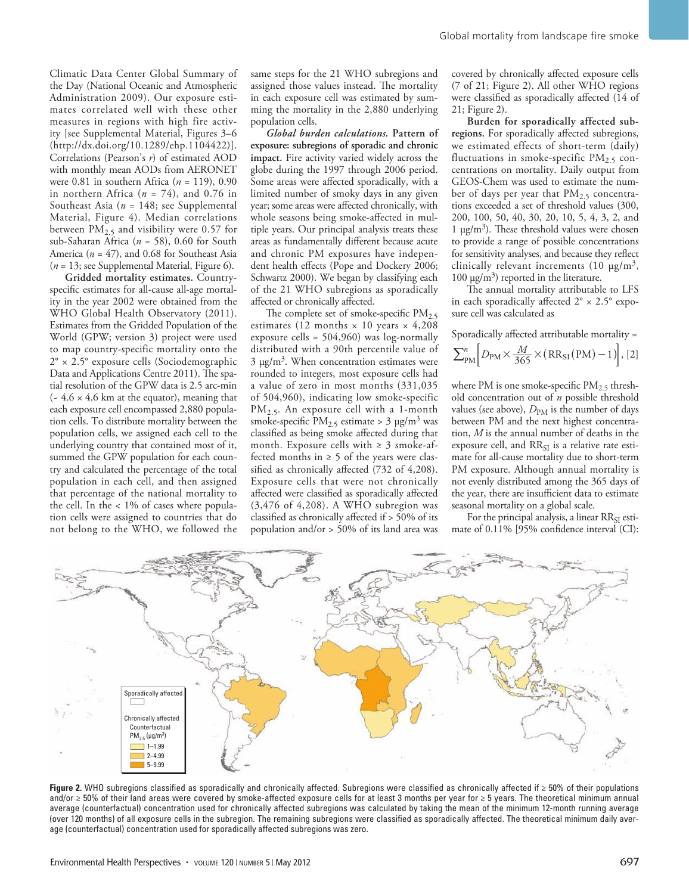Climatic Data Center Global Summary of the Day (National Oceanic and Atmospheric Administration 2009). Our exposure estimates correlated well with these other measures in regions with high fire activity [see Supplemental Material, Figures 3–6 (http://dx.doi.org/10.1289/ehp.1104422)]. Correlations (Pearson's *r*) of estimated AOD with monthly mean AODs from AERONET were 0.81 in southern Africa (*n* = 119), 0.90 in northern Africa (*n* = 74), and 0.76 in Southeast Asia (*n* = 148; see Supplemental Material, Figure 4). Median correlations between  $PM_{2.5}$  and visibility were 0.57 for sub-Saharan Africa (*n* = 58), 0.60 for South America ( $n = 47$ ), and 0.68 for Southeast Asia (*n* = 13; see Supplemental Material, Figure 6).

**Gridded mortality estimates.** Countryspecific estimates for all-cause all-age mortality in the year 2002 were obtained from the WHO Global Health Observatory (2011). Estimates from the Gridded Population of the World (GPW; version 3) project were used to map country-specific mortality onto the 2° × 2.5° exposure cells (Sociodemographic Data and Applications Centre 2011). The spatial resolution of the GPW data is 2.5 arc-min  $(-4.6 \times 4.6 \text{ km at the equator})$ , meaning that each exposure cell encompassed 2,880 population cells. To distribute mortality between the population cells, we assigned each cell to the underlying country that contained most of it, summed the GPW population for each country and calculated the percentage of the total population in each cell, and then assigned that percentage of the national mortality to the cell. In the < 1% of cases where population cells were assigned to countries that do not belong to the WHO, we followed the

same steps for the 21 WHO subregions and assigned those values instead. The mortality in each exposure cell was estimated by summing the mortality in the 2,880 underlying population cells.

*Global burden calculations.* **Pattern of exposure: subregions of sporadic and chronic impact.** Fire activity varied widely across the globe during the 1997 through 2006 period. Some areas were affected sporadically, with a limited number of smoky days in any given year; some areas were affected chronically, with whole seasons being smoke-affected in multiple years. Our principal analysis treats these areas as fundamentally different because acute and chronic PM exposures have independent health effects (Pope and Dockery 2006; Schwartz 2000). We began by classifying each of the 21 WHO subregions as sporadically affected or chronically affected.

The complete set of smoke-specific  $PM_{2.5}$ estimates (12 months  $\times$  10 years  $\times$  4,208 exposure cells = 504,960) was log-normally distributed with a 90th percentile value of  $3 \mu g/m<sup>3</sup>$ . When concentration estimates were rounded to integers, most exposure cells had a value of zero in most months (331,035 of 504,960), indicating low smoke-specific PM2.5. An exposure cell with a 1-month smoke-specific  $PM_{2.5}$  estimate > 3 µg/m<sup>3</sup> was classified as being smoke affected during that month. Exposure cells with  $\geq 3$  smoke-affected months in  $\geq 5$  of the years were classified as chronically affected (732 of 4,208). Exposure cells that were not chronically affected were classified as sporadically affected (3,476 of 4,208). A WHO subregion was classified as chronically affected if > 50% of its population and/or > 50% of its land area was

covered by chronically affected exposure cells (7 of 21; Figure 2). All other WHO regions were classified as sporadically affected (14 of 21; Figure 2).

**Burden for sporadically affected subregions.** For sporadically affected subregions, we estimated effects of short-term (daily) fluctuations in smoke-specific  $PM_{2.5}$  concentrations on mortality. Daily output from GEOS-Chem was used to estimate the number of days per year that  $PM_{2.5}$  concentrations exceeded a set of threshold values (300, 200, 100, 50, 40, 30, 20, 10, 5, 4, 3, 2, and 1  $\mu$ g/m<sup>3</sup>). These threshold values were chosen to provide a range of possible concentrations for sensitivity analyses, and because they reflect clinically relevant increments (10  $\mu$ g/m<sup>3</sup>, 100 μg/m<sup>3</sup>) reported in the literature.

The annual mortality attributable to LFS in each sporadically affected  $2^{\circ} \times 2.5^{\circ}$  exposure cell was calculated as

Sporadically affected attributable mortality =

$$
\sum_{\text{PM}}^{n} \left[ D_{\text{PM}} \times \frac{M}{365} \times (\text{RR}_{\text{SI}}(\text{PM}) - 1) \right], [2]
$$

where PM is one smoke-specific  $PM_{2.5}$  threshold concentration out of *n* possible threshold values (see above),  $D_{PM}$  is the number of days between PM and the next highest concentration, *M* is the annual number of deaths in the exposure cell, and RR<sub>SI</sub> is a relative rate estimate for all-cause mortality due to short-term PM exposure. Although annual mortality is not evenly distributed among the 365 days of the year, there are insufficient data to estimate seasonal mortality on a global scale.

For the principal analysis, a linear RR<sub>SI</sub> estimate of 0.11% [95% confidence interval (CI):



**Figure 2.** WHO subregions classified as sporadically and chronically affected. Subregions were classified as chronically affected if ≥ 50% of their populations and/or ≥ 50% of their land areas were covered by smoke-affected exposure cells for at least 3 months per year for ≥ 5 years. The theoretical minimum annual average (counterfactual) concentration used for chronically affected subregions was calculated by taking the mean of the minimum 12-month running average (over 120 months) of all exposure cells in the subregion. The remaining subregions were classified as sporadically affected. The theoretical minimum daily average (counterfactual) concentration used for sporadically affected subregions was zero.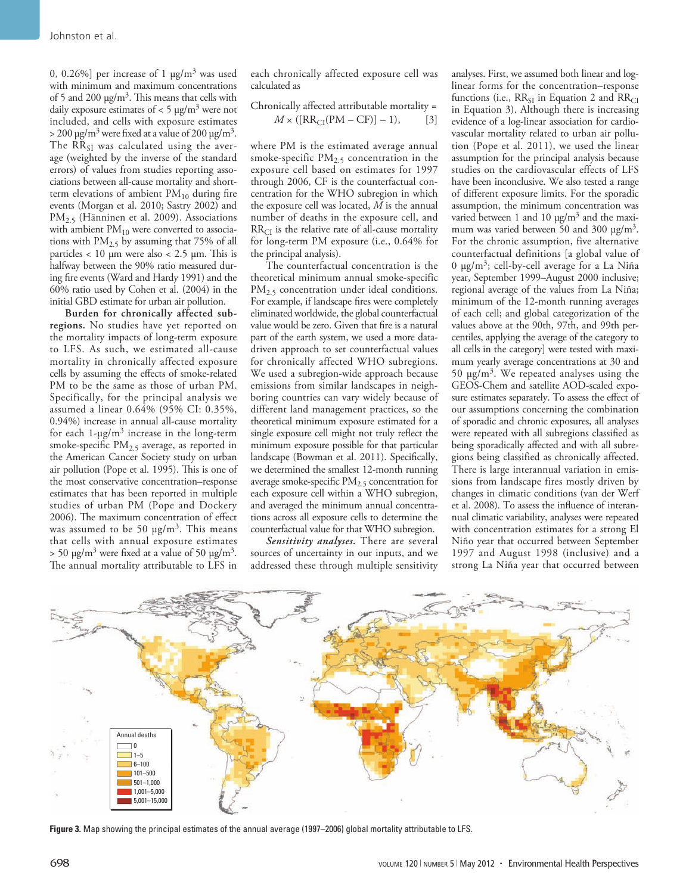0, 0.26%] per increase of 1  $\mu$ g/m<sup>3</sup> was used with minimum and maximum concentrations of 5 and 200  $\mu$ g/m<sup>3</sup>. This means that cells with daily exposure estimates of  $< 5 \mu g/m<sup>3</sup>$  were not included, and cells with exposure estimates  $>$  200 μg/m<sup>3</sup> were fixed at a value of 200 μg/m<sup>3</sup>. The  $RR_{SI}$  was calculated using the average (weighted by the inverse of the standard errors) of values from studies reporting associations between all-cause mortality and shortterm elevations of ambient  $PM_{10}$  during fire events (Morgan et al. 2010; Sastry 2002) and PM2.5 (Hänninen et al. 2009). Associations with ambient  $PM_{10}$  were converted to associations with  $PM<sub>2.5</sub>$  by assuming that 75% of all particles  $< 10 \mu m$  were also  $< 2.5 \mu m$ . This is halfway between the 90% ratio measured during fire events (Ward and Hardy 1991) and the 60% ratio used by Cohen et al. (2004) in the initial GBD estimate for urban air pollution.

**Burden for chronically affected subregions.** No studies have yet reported on the mortality impacts of long-term exposure to LFS. As such, we estimated all-cause mortality in chronically affected exposure cells by assuming the effects of smoke-related PM to be the same as those of urban PM. Specifically, for the principal analysis we assumed a linear 0.64% (95% CI: 0.35%, 0.94%) increase in annual all-cause mortality for each  $1-\mu g/m^3$  increase in the long-term smoke-specific PM<sub>2.5</sub> average, as reported in the American Cancer Society study on urban air pollution (Pope et al. 1995). This is one of the most conservative concentration–response estimates that has been reported in multiple studies of urban PM (Pope and Dockery 2006). The maximum concentration of effect was assumed to be 50  $\mu$ g/m<sup>3</sup>. This means that cells with annual exposure estimates  $> 50 \text{ µg/m}^3$  were fixed at a value of 50  $\text{µg/m}^3$ . The annual mortality attributable to LFS in

each chronically affected exposure cell was calculated as

Chronically affected attributable mortality = 
$$
M \times ([RR_{CI}(PM - CF)] - 1),
$$
 [3]

where PM is the estimated average annual smoke-specific  $PM_{2.5}$  concentration in the exposure cell based on estimates for 1997 through 2006, CF is the counterfactual concentration for the WHO subregion in which the exposure cell was located, *M* is the annual number of deaths in the exposure cell, and  $RR<sub>CI</sub>$  is the relative rate of all-cause mortality for long-term PM exposure (i.e., 0.64% for the principal analysis).

The counterfactual concentration is the theoretical minimum annual smoke-specific PM<sub>2.5</sub> concentration under ideal conditions. For example, if landscape fires were completely eliminated worldwide, the global counterfactual value would be zero. Given that fire is a natural part of the earth system, we used a more datadriven approach to set counterfactual values for chronically affected WHO subregions. We used a subregion-wide approach because emissions from similar landscapes in neighboring countries can vary widely because of different land management practices, so the theoretical minimum exposure estimated for a single exposure cell might not truly reflect the minimum exposure possible for that particular landscape (Bowman et al. 2011). Specifically, we determined the smallest 12-month running average smoke-specific  $PM_{2.5}$  concentration for each exposure cell within a WHO subregion, and averaged the minimum annual concentrations across all exposure cells to determine the counterfactual value for that WHO subregion.

*Sensitivity analyses.* There are several sources of uncertainty in our inputs, and we addressed these through multiple sensitivity

analyses. First, we assumed both linear and loglinear forms for the concentration–response functions (i.e.,  $RR_{SI}$  in Equation 2 and  $RR_{CI}$ in Equation 3). Although there is increasing evidence of a log-linear association for cardiovascular mortality related to urban air pollution (Pope et al. 2011), we used the linear assumption for the principal analysis because studies on the cardiovascular effects of LFS have been inconclusive. We also tested a range of different exposure limits. For the sporadic assumption, the minimum concentration was varied between 1 and 10  $\mu$ g/m<sup>3</sup> and the maximum was varied between 50 and 300 μg/m<sup>3</sup>. For the chronic assumption, five alternative counterfactual definitions [a global value of 0 μg/m<sup>3</sup>; cell-by-cell average for a La Niña year, September 1999–August 2000 inclusive; regional average of the values from La Niña; minimum of the 12-month running averages of each cell; and global categorization of the values above at the 90th, 97th, and 99th percentiles, applying the average of the category to all cells in the category] were tested with maximum yearly average concentrations at 30 and 50 μg/m3. We repeated analyses using the GEOS-Chem and satellite AOD-scaled exposure estimates separately. To assess the effect of our assumptions concerning the combination of sporadic and chronic exposures, all analyses were repeated with all subregions classified as being sporadically affected and with all subregions being classified as chronically affected. There is large interannual variation in emissions from landscape fires mostly driven by changes in climatic conditions (van der Werf et al. 2008). To assess the influence of interannual climatic variability, analyses were repeated with concentration estimates for a strong El Niño year that occurred between September 1997 and August 1998 (inclusive) and a strong La Niña year that occurred between



**Figure 3.** Map showing the principal estimates of the annual average (1997–2006) global mortality attributable to LFS.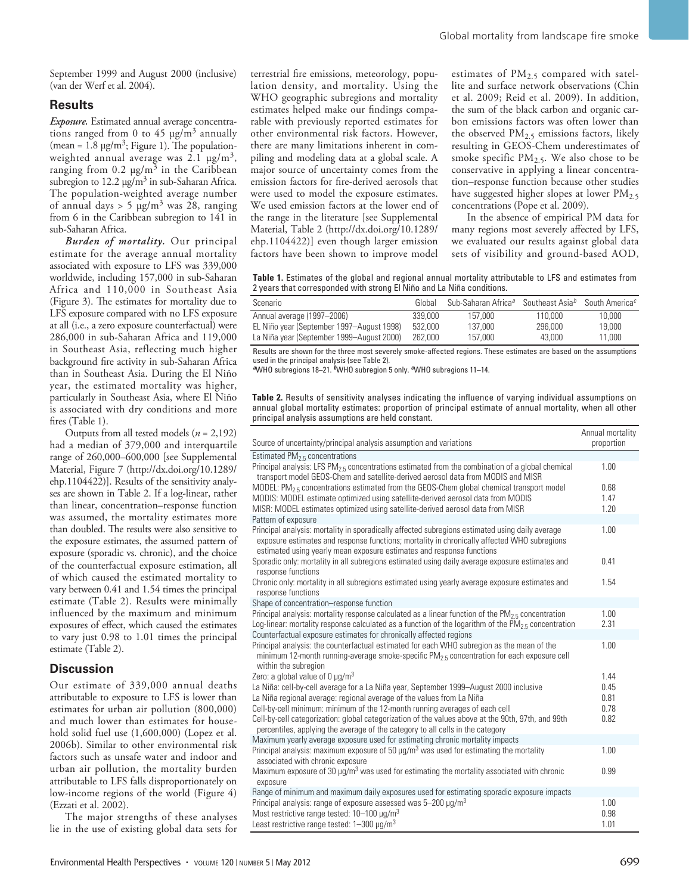September 1999 and August 2000 (inclusive) (van der Werf et al. 2004).

### **Results**

*Exposure.* Estimated annual average concentrations ranged from 0 to 45  $\mu$ g/m<sup>3</sup> annually (mean =  $1.8 \mu g/m^3$ ; Figure 1). The populationweighted annual average was  $2.1 \text{ µg/m}^3$ , ranging from  $0.2 \mu g/m^3$  in the Caribbean subregion to  $12.2 \mu g/m^3$  in sub-Saharan Africa. The population-weighted average number of annual days  $> 5 \mu g/m^3$  was 28, ranging from 6 in the Caribbean subregion to 141 in sub-Saharan Africa.

*Burden of mortality.* Our principal estimate for the average annual mortality associated with exposure to LFS was 339,000 worldwide, including 157,000 in sub-Saharan Africa and 110,000 in Southeast Asia (Figure 3). The estimates for mortality due to LFS exposure compared with no LFS exposure at all (i.e., a zero exposure counterfactual) were 286,000 in sub-Saharan Africa and 119,000 in Southeast Asia, reflecting much higher background fire activity in sub-Saharan Africa than in Southeast Asia. During the El Niño year, the estimated mortality was higher, particularly in Southeast Asia, where El Niño is associated with dry conditions and more fires (Table 1).

Outputs from all tested models (*n* = 2,192) had a median of 379,000 and interquartile range of 260,000–600,000 [see Supplemental Material, Figure 7 (http://dx.doi.org/10.1289/ ehp.1104422)]. Results of the sensitivity analyses are shown in Table 2. If a log-linear, rather than linear, concentration–response function was assumed, the mortality estimates more than doubled. The results were also sensitive to the exposure estimates, the assumed pattern of exposure (sporadic vs. chronic), and the choice of the counterfactual exposure estimation, all of which caused the estimated mortality to vary between 0.41 and 1.54 times the principal estimate (Table 2). Results were minimally influenced by the maximum and minimum exposures of effect, which caused the estimates to vary just 0.98 to 1.01 times the principal estimate (Table 2).

## **Discussion**

Our estimate of 339,000 annual deaths attributable to exposure to LFS is lower than estimates for urban air pollution (800,000) and much lower than estimates for household solid fuel use (1,600,000) (Lopez et al. 2006b). Similar to other environmental risk factors such as unsafe water and indoor and urban air pollution, the mortality burden attributable to LFS falls disproportionately on low-income regions of the world (Figure 4) (Ezzati et al. 2002).

The major strengths of these analyses lie in the use of existing global data sets for terrestrial fire emissions, meteorology, population density, and mortality. Using the WHO geographic subregions and mortality estimates helped make our findings comparable with previously reported estimates for other environmental risk factors. However, there are many limitations inherent in compiling and modeling data at a global scale. A major source of uncertainty comes from the emission factors for fire-derived aerosols that were used to model the exposure estimates. We used emission factors at the lower end of the range in the literature [see Supplemental Material, Table 2 (http://dx.doi.org/10.1289/ ehp.1104422)] even though larger emission factors have been shown to improve model

estimates of  $PM_{2.5}$  compared with satellite and surface network observations (Chin et al. 2009; Reid et al. 2009). In addition, the sum of the black carbon and organic carbon emissions factors was often lower than the observed  $PM<sub>2.5</sub>$  emissions factors, likely resulting in GEOS-Chem underestimates of smoke specific  $PM_{2.5}$ . We also chose to be conservative in applying a linear concentration–response function because other studies have suggested higher slopes at lower  $PM_{2.5}$ concentrations (Pope et al. 2009).

In the absence of empirical PM data for many regions most severely affected by LFS, we evaluated our results against global data sets of visibility and ground-based AOD,

**Table 1.** Estimates of the global and regional annual mortality attributable to LFS and estimates from 2 years that corresponded with strong El Niño and La Niña conditions.

| Scenario                                  | Global  | Sub-Saharan Africa <sup>a</sup> Southeast Asia <sup>b</sup> South America <sup>c</sup> |         |        |
|-------------------------------------------|---------|----------------------------------------------------------------------------------------|---------|--------|
| Annual average (1997-2006)                | 339,000 | 157.000                                                                                | 110.000 | 10,000 |
| EL Niño year (September 1997–August 1998) | 532,000 | 137.000                                                                                | 296,000 | 19,000 |
| La Niña year (September 1999–August 2000) | 262.000 | 157.000                                                                                | 43.000  | 11.000 |

Results are shown for the three most severely smoke-affected regions. These estimates are based on the assumptions used in the principal analysis (see Table 2).

*<sup>a</sup>*WHO subregions 18–21. *b*WHO subregion 5 only. *c*WHO subregions 11–14.

**Table 2.** Results of sensitivity analyses indicating the influence of varying individual assumptions on annual global mortality estimates: proportion of principal estimate of annual mortality, when all other principal analysis assumptions are held constant.

| Source of uncertainty/principal analysis assumption and variations                                                                                                                                                                                                      | Annual mortality<br>proportion |
|-------------------------------------------------------------------------------------------------------------------------------------------------------------------------------------------------------------------------------------------------------------------------|--------------------------------|
| Estimated $PM2.5$ concentrations                                                                                                                                                                                                                                        |                                |
| Principal analysis: LFS $PM_{2.5}$ concentrations estimated from the combination of a global chemical<br>transport model GEOS-Chem and satellite-derived aerosol data from MODIS and MISR                                                                               | 1.00                           |
| MODEL: $PM25$ concentrations estimated from the GEOS-Chem global chemical transport model                                                                                                                                                                               | 0.68                           |
| MODIS: MODEL estimate optimized using satellite-derived aerosol data from MODIS                                                                                                                                                                                         | 1.47                           |
| MISR: MODEL estimates optimized using satellite-derived aerosol data from MISR                                                                                                                                                                                          | 1.20                           |
| Pattern of exposure                                                                                                                                                                                                                                                     |                                |
| Principal analysis: mortality in sporadically affected subregions estimated using daily average<br>exposure estimates and response functions; mortality in chronically affected WHO subregions<br>estimated using yearly mean exposure estimates and response functions | 1.00                           |
| Sporadic only: mortality in all subregions estimated using daily average exposure estimates and<br>response functions                                                                                                                                                   | 0.41                           |
| Chronic only: mortality in all subregions estimated using yearly average exposure estimates and<br>response functions                                                                                                                                                   | 1.54                           |
| Shape of concentration-response function                                                                                                                                                                                                                                |                                |
| Principal analysis: mortality response calculated as a linear function of the $PM_{2.5}$ concentration                                                                                                                                                                  | 1.00                           |
| Log-linear: mortality response calculated as a function of the logarithm of the $PM_2$ g concentration                                                                                                                                                                  | 2.31                           |
| Counterfactual exposure estimates for chronically affected regions                                                                                                                                                                                                      |                                |
| Principal analysis: the counterfactual estimated for each WHO subregion as the mean of the<br>minimum 12-month running-average smoke-specific PM <sub>2.5</sub> concentration for each exposure cell<br>within the subregion                                            | 1.00                           |
| Zero: a global value of 0 $\mu q/m^3$                                                                                                                                                                                                                                   | 1.44                           |
| La Niña: cell-by-cell average for a La Niña year, September 1999-August 2000 inclusive                                                                                                                                                                                  | 0.45                           |
| La Niña regional average: regional average of the values from La Niña                                                                                                                                                                                                   | 0.81                           |
| Cell-by-cell minimum: minimum of the 12-month running averages of each cell                                                                                                                                                                                             | 0.78                           |
| Cell-by-cell categorization: global categorization of the values above at the 90th, 97th, and 99th<br>percentiles, applying the average of the category to all cells in the category                                                                                    | 0.82                           |
| Maximum yearly average exposure used for estimating chronic mortality impacts                                                                                                                                                                                           |                                |
| Principal analysis: maximum exposure of 50 $\mu$ g/m <sup>3</sup> was used for estimating the mortality<br>associated with chronic exposure                                                                                                                             | 1.00                           |
| Maximum exposure of 30 $\mu$ g/m <sup>3</sup> was used for estimating the mortality associated with chronic<br>exposure                                                                                                                                                 | 0.99                           |
| Range of minimum and maximum daily exposures used for estimating sporadic exposure impacts                                                                                                                                                                              |                                |
| Principal analysis: range of exposure assessed was 5-200 µg/m <sup>3</sup>                                                                                                                                                                                              | 1.00                           |
| Most restrictive range tested: $10-100 \mu q/m^3$                                                                                                                                                                                                                       | 0.98                           |
| Least restrictive range tested: $1-300 \mu q/m^3$                                                                                                                                                                                                                       | 1.01                           |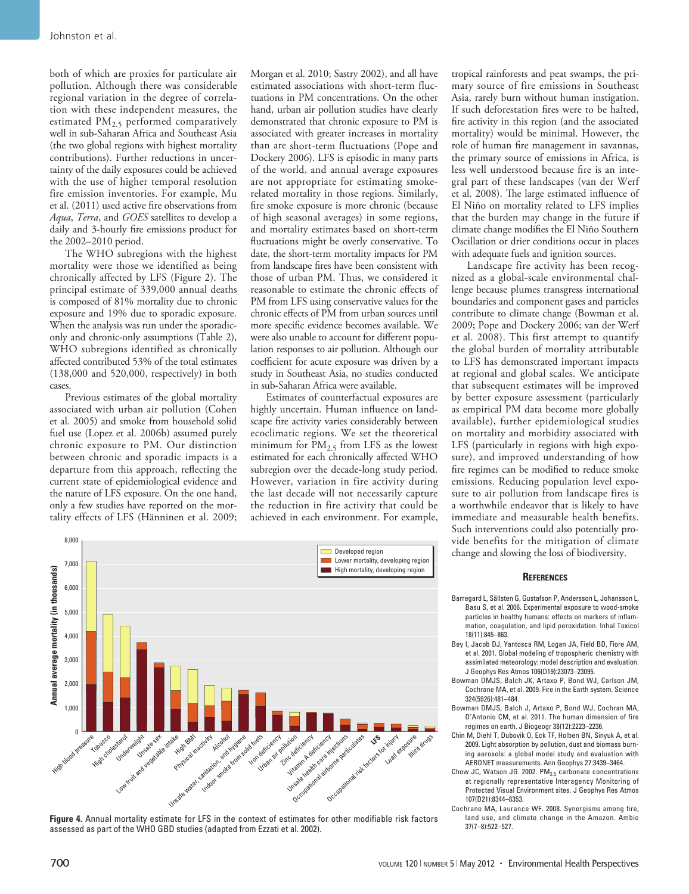both of which are proxies for particulate air pollution. Although there was considerable regional variation in the degree of correlation with these independent measures, the estimated PM<sub>2.5</sub> performed comparatively well in sub-Saharan Africa and Southeast Asia (the two global regions with highest mortality contributions). Further reductions in uncertainty of the daily exposures could be achieved with the use of higher temporal resolution fire emission inventories. For example, Mu et al. (2011) used active fire observations from *Aqua*, *Terra*, and *GOES* satellites to develop a daily and 3-hourly fire emissions product for the 2002–2010 period.

The WHO subregions with the highest mortality were those we identified as being chronically affected by LFS (Figure 2). The principal estimate of 339,000 annual deaths is composed of 81% mortality due to chronic exposure and 19% due to sporadic exposure. When the analysis was run under the sporadiconly and chronic-only assumptions (Table 2), WHO subregions identified as chronically affected contributed 53% of the total estimates (138,000 and 520,000, respectively) in both cases.

Previous estimates of the global mortality associated with urban air pollution (Cohen et al. 2005) and smoke from household solid fuel use (Lopez et al. 2006b) assumed purely chronic exposure to PM. Our distinction between chronic and sporadic impacts is a departure from this approach, reflecting the current state of epidemiological evidence and the nature of LFS exposure. On the one hand, only a few studies have reported on the mortality effects of LFS (Hänninen et al. 2009;

Morgan et al. 2010; Sastry 2002), and all have estimated associations with short-term fluctuations in PM concentrations. On the other hand, urban air pollution studies have clearly demonstrated that chronic exposure to PM is associated with greater increases in mortality than are short-term fluctuations (Pope and Dockery 2006). LFS is episodic in many parts of the world, and annual average exposures are not appropriate for estimating smokerelated mortality in those regions. Similarly, fire smoke exposure is more chronic (because of high seasonal averages) in some regions, and mortality estimates based on short-term fluctuations might be overly conservative. To date, the short-term mortality impacts for PM from landscape fires have been consistent with those of urban PM. Thus, we considered it reasonable to estimate the chronic effects of PM from LFS using conservative values for the chronic effects of PM from urban sources until more specific evidence becomes available. We were also unable to account for different population responses to air pollution. Although our coefficient for acute exposure was driven by a study in Southeast Asia, no studies conducted in sub-Saharan Africa were available.

Estimates of counterfactual exposures are highly uncertain. Human influence on landscape fire activity varies considerably between ecoclimatic regions. We set the theoretical minimum for  $\text{PM}_{2.5}$  from LFS as the lowest estimated for each chronically affected WHO subregion over the decade-long study period. However, variation in fire activity during the last decade will not necessarily capture the reduction in fire activity that could be achieved in each environment. For example,



**Figure 4.** Annual mortality estimate for LFS in the context of estimates for other modifiable risk factors assessed as part of the WHO GBD studies (adapted from Ezzati et al. 2002).

tropical rainforests and peat swamps, the primary source of fire emissions in Southeast Asia, rarely burn without human instigation. If such deforestation fires were to be halted, fire activity in this region (and the associated mortality) would be minimal. However, the role of human fire management in savannas, the primary source of emissions in Africa, is less well understood because fire is an integral part of these landscapes (van der Werf et al. 2008). The large estimated influence of El Niño on mortality related to LFS implies that the burden may change in the future if climate change modifies the El Niño Southern Oscillation or drier conditions occur in places with adequate fuels and ignition sources.

Landscape fire activity has been recognized as a global-scale environmental challenge because plumes transgress international boundaries and component gases and particles contribute to climate change (Bowman et al. 2009; Pope and Dockery 2006; van der Werf et al. 2008). This first attempt to quantify the global burden of mortality attributable to LFS has demonstrated important impacts at regional and global scales. We anticipate that subsequent estimates will be improved by better exposure assessment (particularly as empirical PM data become more globally available), further epidemiological studies on mortality and morbidity associated with LFS (particularly in regions with high exposure), and improved understanding of how fire regimes can be modified to reduce smoke emissions. Reducing population level exposure to air pollution from landscape fires is a worthwhile endeavor that is likely to have immediate and measurable health benefits. Such interventions could also potentially provide benefits for the mitigation of climate change and slowing the loss of biodiversity.

#### **References**

- Barregard L, Sällsten G, Gustafson P, Andersson L, Johansson L, Basu S, et al. 2006. Experimental exposure to wood-smoke particles in healthy humans: effects on markers of inflammation, coagulation, and lipid peroxidation. Inhal Toxicol 18(11):845–863.
- Bey I, Jacob DJ, Yantosca RM, Logan JA, Field BD, Fiore AM, et al. 2001. Global modeling of tropospheric chemistry with assimilated meteorology: model description and evaluation. J Geophys Res Atmos 106(D19):23073–23095.
- Bowman DMJS, Balch JK, Artaxo P, Bond WJ, Carlson JM, Cochrane MA, et al. 2009. Fire in the Earth system. Science 324(5926):481–484.
- Bowman DMJS, Balch J, Artaxo P, Bond WJ, Cochran MA, D'Antonio CM, et al. 2011. The human dimension of fire regimes on earth. J Biogeogr 38(12):2223–2236.
- Chin M, Diehl T, Dubovik O, Eck TF, Holben BN, Sinyuk A, et al. 2009. Light absorption by pollution, dust and biomass burning aerosols: a global model study and evaluation with AERONET measurements. Ann Geophys 27:3439–3464.
- Chow JC, Watson JG. 2002.  $PM<sub>2.5</sub>$  carbonate concentrations at regionally representative Interagency Monitoring of Protected Visual Environment sites. J Geophys Res Atmos 107(D21):8344–8353.
- Cochrane MA, Laurance WF. 2008. Synergisms among fire, land use, and climate change in the Amazon. Ambio 37(7–8):522–527.